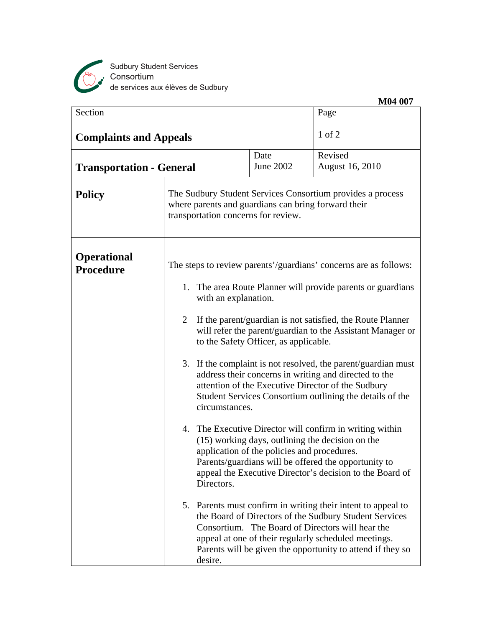

|                                 |                                                                                            |                                                                                                                                                                                                                                                                                                                                                                                                                                                                                                                                                                                                                                                                                                                                                                                                                                                                                                                                                                                                         | M04 007                                                                                                                                                                |  |
|---------------------------------|--------------------------------------------------------------------------------------------|---------------------------------------------------------------------------------------------------------------------------------------------------------------------------------------------------------------------------------------------------------------------------------------------------------------------------------------------------------------------------------------------------------------------------------------------------------------------------------------------------------------------------------------------------------------------------------------------------------------------------------------------------------------------------------------------------------------------------------------------------------------------------------------------------------------------------------------------------------------------------------------------------------------------------------------------------------------------------------------------------------|------------------------------------------------------------------------------------------------------------------------------------------------------------------------|--|
| Section                         |                                                                                            |                                                                                                                                                                                                                                                                                                                                                                                                                                                                                                                                                                                                                                                                                                                                                                                                                                                                                                                                                                                                         | Page                                                                                                                                                                   |  |
| <b>Complaints and Appeals</b>   |                                                                                            |                                                                                                                                                                                                                                                                                                                                                                                                                                                                                                                                                                                                                                                                                                                                                                                                                                                                                                                                                                                                         | $1$ of $2$                                                                                                                                                             |  |
| <b>Transportation - General</b> |                                                                                            | Date<br><b>June 2002</b>                                                                                                                                                                                                                                                                                                                                                                                                                                                                                                                                                                                                                                                                                                                                                                                                                                                                                                                                                                                | Revised<br>August 16, 2010                                                                                                                                             |  |
| <b>Policy</b>                   | where parents and guardians can bring forward their<br>transportation concerns for review. |                                                                                                                                                                                                                                                                                                                                                                                                                                                                                                                                                                                                                                                                                                                                                                                                                                                                                                                                                                                                         | The Sudbury Student Services Consortium provides a process                                                                                                             |  |
| <b>Operational</b><br>Procedure | 2<br>Directors.                                                                            | The steps to review parents'/guardians' concerns are as follows:<br>1. The area Route Planner will provide parents or guardians<br>with an explanation.<br>If the parent/guardian is not satisfied, the Route Planner<br>will refer the parent/guardian to the Assistant Manager or<br>to the Safety Officer, as applicable.<br>3. If the complaint is not resolved, the parent/guardian must<br>address their concerns in writing and directed to the<br>attention of the Executive Director of the Sudbury<br>Student Services Consortium outlining the details of the<br>circumstances.<br>4. The Executive Director will confirm in writing within<br>(15) working days, outlining the decision on the<br>application of the policies and procedures.<br>Parents/guardians will be offered the opportunity to<br>appeal the Executive Director's decision to the Board of<br>5. Parents must confirm in writing their intent to appeal to<br>the Board of Directors of the Sudbury Student Services |                                                                                                                                                                        |  |
|                                 | desire.                                                                                    |                                                                                                                                                                                                                                                                                                                                                                                                                                                                                                                                                                                                                                                                                                                                                                                                                                                                                                                                                                                                         | Consortium. The Board of Directors will hear the<br>appeal at one of their regularly scheduled meetings.<br>Parents will be given the opportunity to attend if they so |  |